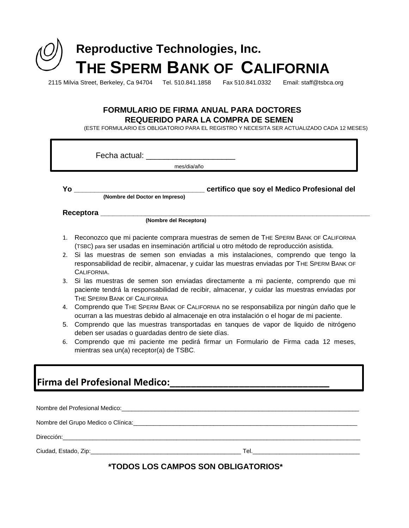

2115 Milvia Street, Berkeley, Ca 94704 Tel. 510.841.1858 Fax 510.841.0332 Email: staff@tsbca.org

## **FORMULARIO DE FIRMA ANUAL PARA DOCTORES REQUERIDO PARA LA COMPRA DE SEMEN**

(ESTE FORMULARIO ES OBLIGATORIO PARA EL REGISTRO Y NECESITA SER ACTUALIZADO CADA 12 MESES)

|    | mes/dia/año                                                                                                                                                                                                                                                                     |  |  |  |  |
|----|---------------------------------------------------------------------------------------------------------------------------------------------------------------------------------------------------------------------------------------------------------------------------------|--|--|--|--|
|    |                                                                                                                                                                                                                                                                                 |  |  |  |  |
|    |                                                                                                                                                                                                                                                                                 |  |  |  |  |
|    |                                                                                                                                                                                                                                                                                 |  |  |  |  |
| 1. | Reconozco que mi paciente comprara muestras de semen de THE SPERM BANK OF CALIFORNIA<br>(TSBC) para ser usadas en inseminación artificial u otro método de reproducción asistida.                                                                                               |  |  |  |  |
| 2. | Si las muestras de semen son enviadas a mis instalaciones, comprendo que tengo la<br>responsabilidad de recibir, almacenar, y cuidar las muestras enviadas por THE SPERM BANK OF<br>CALIFORNIA.                                                                                 |  |  |  |  |
|    | 3. Si las muestras de semen son enviadas directamente a mi paciente, comprendo que mi<br>paciente tendrá la responsabilidad de recibir, almacenar, y cuidar las muestras enviadas por<br>THE SPERM BANK OF CALIFORNIA                                                           |  |  |  |  |
| 4. | Comprendo que THE SPERM BANK OF CALIFORNIA no se responsabiliza por ningún daño que le<br>ocurran a las muestras debido al almacenaje en otra instalación o el hogar de mi paciente.<br>5. Comprendo que las muestras transportadas en tanques de vapor de liquido de nitrógeno |  |  |  |  |
|    | deben ser usadas o guardadas dentro de siete días.                                                                                                                                                                                                                              |  |  |  |  |
| 6. | Comprendo que mi paciente me pedirá firmar un Formulario de Firma cada 12 meses,<br>mientras sea un(a) receptor(a) de TSBC.                                                                                                                                                     |  |  |  |  |
|    |                                                                                                                                                                                                                                                                                 |  |  |  |  |
|    |                                                                                                                                                                                                                                                                                 |  |  |  |  |
|    | Nombre del Grupo Medico o Clínica: et al establecer a contrar establecer a contrar establecer a contrar establ                                                                                                                                                                  |  |  |  |  |
|    |                                                                                                                                                                                                                                                                                 |  |  |  |  |

## **\*TODOS LOS CAMPOS SON OBLIGATORIOS\***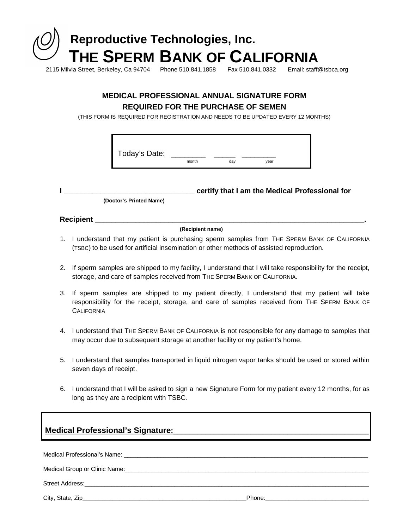

### 2115 Milvia Street, Berkeley, Ca 94704 Phone 510.841.1858 Fax 510.841.0332 Email: staff@tsbca.org

## **MEDICAL PROFESSIONAL ANNUAL SIGNATURE FORM REQUIRED FOR THE PURCHASE OF SEMEN**

(THIS FORM IS REQUIRED FOR REGISTRATION AND NEEDS TO BE UPDATED EVERY 12 MONTHS)

| Today's Date: |       |    |      |  |
|---------------|-------|----|------|--|
|               | month | da | vear |  |

**I \_\_\_\_\_\_\_\_\_\_\_\_\_\_\_\_\_\_\_\_\_\_\_\_\_\_\_\_\_\_\_\_ certify that I am the Medical Professional for (Doctor's Printed Name)**

# **Recipient \_\_**

#### **(Recipient name)**

- 1. I understand that my patient is purchasing sperm samples from THE SPERM BANK OF CALIFORNIA (TSBC) to be used for artificial insemination or other methods of assisted reproduction.
- 2. If sperm samples are shipped to my facility, I understand that I will take responsibility for the receipt, storage, and care of samples received from THE SPERM BANK OF CALIFORNIA.
- 3. If sperm samples are shipped to my patient directly, I understand that my patient will take responsibility for the receipt, storage, and care of samples received from THE SPERM BANK OF **CALIFORNIA**
- 4. I understand that THE SPERM BANK OF CALIFORNIA is not responsible for any damage to samples that may occur due to subsequent storage at another facility or my patient's home.
- 5. I understand that samples transported in liquid nitrogen vapor tanks should be used or stored within seven days of receipt.
- 6. I understand that I will be asked to sign a new Signature Form for my patient every 12 months, for as long as they are a recipient with TSBC.

## **Medical Professional's Signature:**\_\_\_\_\_\_\_\_\_\_\_\_\_\_\_\_\_\_\_\_\_\_\_\_\_\_\_\_\_\_\_\_\_\_\_\_\_\_\_\_\_\_\_\_\_\_\_\_

Medical Professional's Name: \_\_\_\_\_\_\_\_\_\_\_\_\_\_\_\_\_\_\_\_\_\_\_\_\_\_\_\_\_\_\_\_\_\_\_\_\_\_\_\_\_\_\_\_\_\_\_\_\_\_\_\_\_\_\_\_\_\_\_\_\_\_\_\_\_\_\_\_\_\_\_\_\_

Medical Group or Clinic Name:

Street Address:

City, State, Zip\_\_\_\_\_\_\_\_\_\_\_\_\_\_\_\_\_\_\_\_\_\_\_\_\_\_\_\_\_\_\_\_\_\_\_\_\_\_\_\_\_\_\_\_\_\_\_\_\_Phone:\_\_\_\_\_\_\_\_\_\_\_\_\_\_\_\_\_\_\_\_\_\_\_\_\_\_\_\_\_\_\_